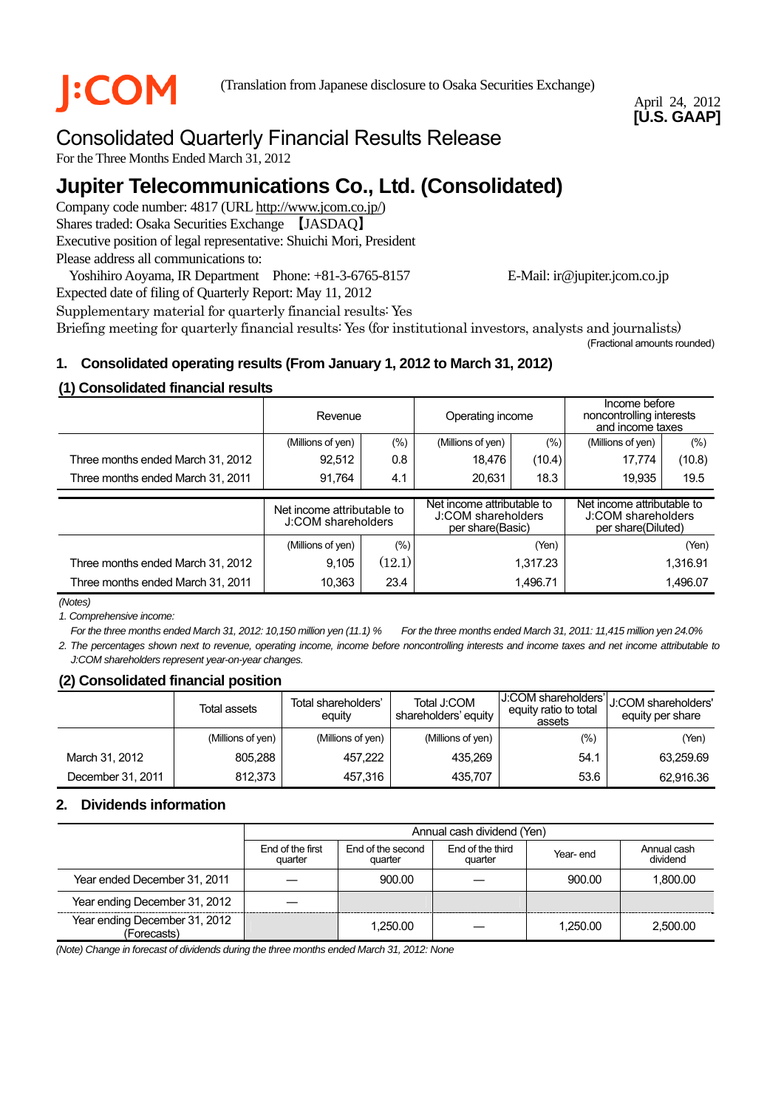

## April 24, 2012 **[U.S. GAAP]**

# Consolidated Quarterly Financial Results Release

For the Three Months Ended March 31, 2012

# **Jupiter Telecommunications Co., Ltd. (Consolidated)**

Company code number: 4817 (URL http://www.jcom.co.jp/) Shares traded: Osaka Securities Exchange 【JASDAQ】 Executive position of legal representative: Shuichi Mori, President Please address all communications to:

Yoshihiro Aoyama, IR Department Phone: +81-3-6765-8157 E-Mail: ir@jupiter.jcom.co.jp Expected date of filing of Quarterly Report: May 11, 2012

Supplementary material for quarterly financial results: Yes Briefing meeting for quarterly financial results: Yes (for institutional investors, analysts and journalists) (Fractional amounts rounded)

# **1. Consolidated operating results (From January 1, 2012 to March 31, 2012)**

# **(1) Consolidated financial results**

|                                   | Revenue                                          |         | Operating income                                                     |          | Income before<br>noncontrolling interests<br>and income taxes          |          |
|-----------------------------------|--------------------------------------------------|---------|----------------------------------------------------------------------|----------|------------------------------------------------------------------------|----------|
|                                   | (Millions of yen)                                | (%)     | (Millions of yen)                                                    | (%)      | (Millions of yen)                                                      | (% )     |
| Three months ended March 31, 2012 | 92,512                                           | 0.8     | 18.476                                                               | (10.4)   | 17,774                                                                 | (10.8)   |
| Three months ended March 31, 2011 | 91,764                                           | 4.1     | 20.631                                                               | 18.3     | 19.935                                                                 | 19.5     |
|                                   | Net income attributable to<br>J:COM shareholders |         |                                                                      |          |                                                                        |          |
|                                   |                                                  |         | Net income attributable to<br>J:COM shareholders<br>per share(Basic) |          | Net income attributable to<br>J:COM shareholders<br>per share(Diluted) |          |
|                                   | (Millions of yen)                                | $(\% )$ |                                                                      | (Yen)    |                                                                        | (Yen)    |
| Three months ended March 31, 2012 | 9,105                                            | (12.1)  |                                                                      | 1,317.23 |                                                                        | 1,316.91 |

*(Notes)* 

*1. Comprehensive income:* 

*For the three months ended March 31, 2012: 10,150 million yen (11.1) % For the three months ended March 31, 2011: 11,415 million yen 24.0% 2. The percentages shown next to revenue, operating income, income before noncontrolling interests and income taxes and net income attributable to J:COM shareholders represent year-on-year changes.*

# **(2) Consolidated financial position**

| $\ddot{\phantom{1}}$ | Total assets      | Total shareholders'<br>equity | Total J:COM<br>shareholders' equity | J:COM shareholders'l<br>equity ratio to total<br>assets | U:COM shareholders'<br>equity per share |
|----------------------|-------------------|-------------------------------|-------------------------------------|---------------------------------------------------------|-----------------------------------------|
|                      | (Millions of yen) | (Millions of yen)             | (Millions of yen)                   | $(\%)$                                                  | (Yen)                                   |
| March 31, 2012       | 805.288           | 457.222                       | 435.269                             | 54.1                                                    | 63,259.69                               |
| December 31, 2011    | 812,373           | 457.316                       | 435.707                             | 53.6                                                    | 62,916.36                               |

# **2. Dividends information**

|                                              | Annual cash dividend (Yen)  |                              |                             |          |                         |  |  |
|----------------------------------------------|-----------------------------|------------------------------|-----------------------------|----------|-------------------------|--|--|
|                                              | End of the first<br>quarter | End of the second<br>quarter | End of the third<br>quarter | Year-end | Annual cash<br>dividend |  |  |
| Year ended December 31, 2011                 |                             | 900.00                       |                             | 900.00   | 1.800.00                |  |  |
| Year ending December 31, 2012                |                             |                              |                             |          |                         |  |  |
| Year ending December 31, 2012<br>(Forecasts) |                             | 1.250.00                     |                             | 1.250.00 | 2.500.00                |  |  |

*(Note) Change in forecast of dividends during the three months ended March 31, 2012: None*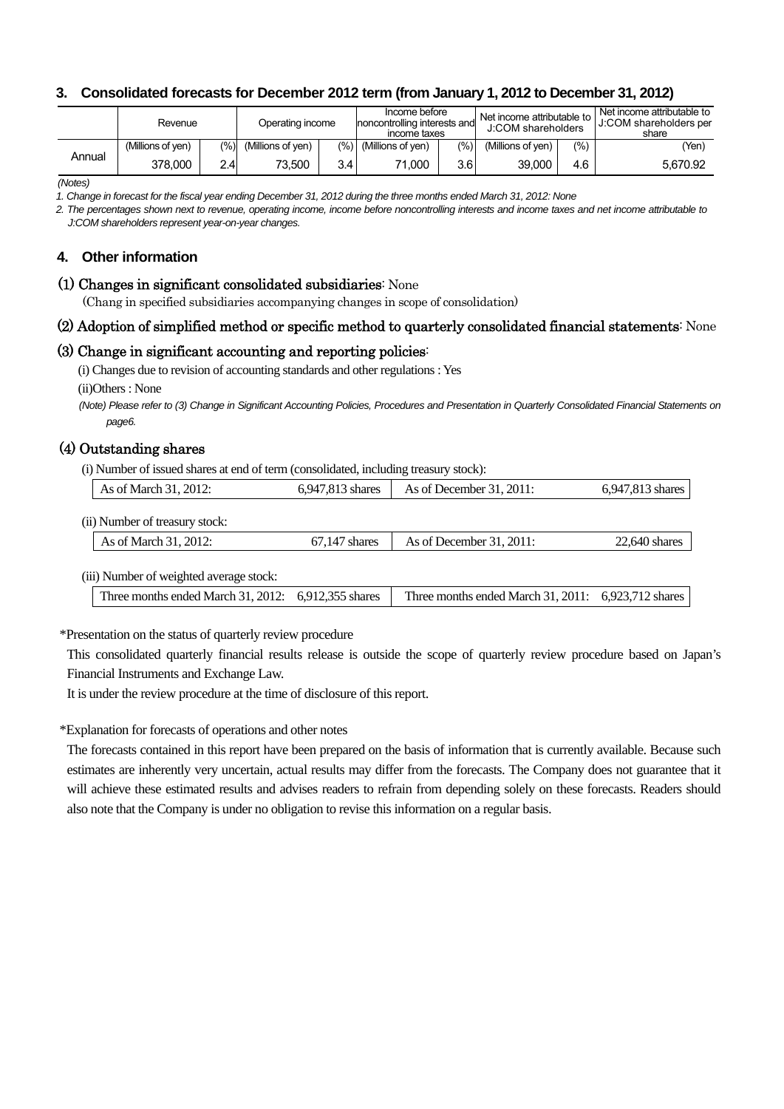# **3. Consolidated forecasts for December 2012 term (from January 1, 2012 to December 31, 2012)**

|        | Revenue           |                | Operating income  |     | Income before<br>noncontrolling interests and<br>income taxes |       | Net income attributable to<br>J:COM shareholders |     | Net income attributable to<br>J:COM shareholders per<br>share |
|--------|-------------------|----------------|-------------------|-----|---------------------------------------------------------------|-------|--------------------------------------------------|-----|---------------------------------------------------------------|
|        | (Millions of ven) | $\frac{10}{6}$ | (Millions of ven) |     | $(\%)$ (Millions of yen)                                      | (9/0) | (Millions of ven)                                | (%) | 'Yen,                                                         |
| Annual | 378.000           | 2.4            | 73.500            | 3.4 | 71.000                                                        | 3.6   | 39.000                                           | 4.6 | 5.670.92                                                      |

*(Notes)* 

*1. Change in forecast for the fiscal year ending December 31, 2012 during the three months ended March 31, 2012: None*

*2. The percentages shown next to revenue, operating income, income before noncontrolling interests and income taxes and net income attributable to J:COM shareholders represent year-on-year changes.* 

### **4. Other information**

#### (1) Changes in significant consolidated subsidiaries: None

(Chang in specified subsidiaries accompanying changes in scope of consolidation)

#### (2) Adoption of simplified method or specific method to quarterly consolidated financial statements: None

#### (3) Change in significant accounting and reporting policies:

(i) Changes due to revision of accounting standards and other regulations : Yes

(ii)Others : None

*(Note) Please refer to (3) Change in Significant Accounting Policies, Procedures and Presentation in Quarterly Consolidated Financial Statements on page6.*

## (4) Outstanding shares

(i) Number of issued shares at end of term (consolidated, including treasury stock):

| As of March 31, 2012:                   | 6,947,813 shares | As of December $31, 2011$ : | 6,947,813 shares |
|-----------------------------------------|------------------|-----------------------------|------------------|
| (ii) Number of treasury stock:          |                  |                             |                  |
| As of March 31, 2012:                   | $67.147$ shares  | As of December $31, 2011$ : | $22,640$ shares  |
| (iii) Number of weighted average stock: |                  |                             |                  |

Three months ended March 31, 2012: 6,912,355 shares Three months ended March 31, 2011: 6,923,712 shares

\*Presentation on the status of quarterly review procedure

This consolidated quarterly financial results release is outside the scope of quarterly review procedure based on Japan's Financial Instruments and Exchange Law.

It is under the review procedure at the time of disclosure of this report.

\*Explanation for forecasts of operations and other notes

The forecasts contained in this report have been prepared on the basis of information that is currently available. Because such estimates are inherently very uncertain, actual results may differ from the forecasts. The Company does not guarantee that it will achieve these estimated results and advises readers to refrain from depending solely on these forecasts. Readers should also note that the Company is under no obligation to revise this information on a regular basis.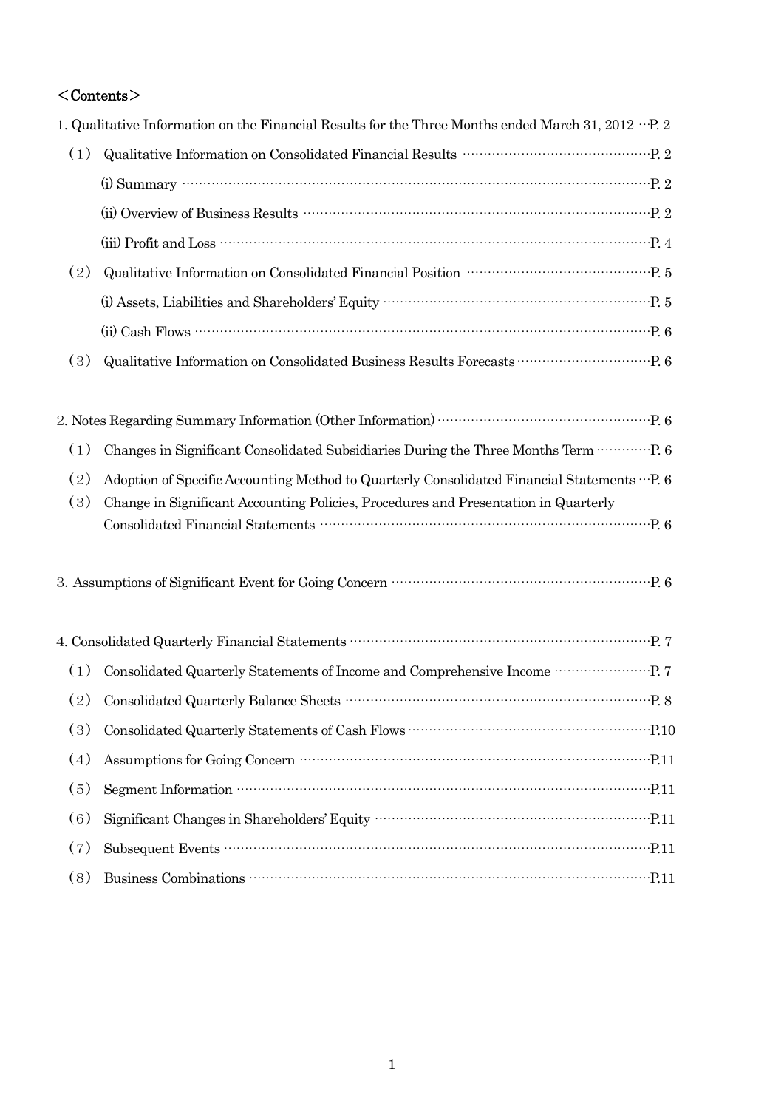# $<$ Contents $>$

| 1. Qualitative Information on the Financial Results for the Three Months ended March 31, 2012 $\cdot \cdot$ P. 2                                                                                                                                                                                                                             |
|----------------------------------------------------------------------------------------------------------------------------------------------------------------------------------------------------------------------------------------------------------------------------------------------------------------------------------------------|
| Qualitative Information on Consolidated Financial Results<br>$\cdots\cdots\cdots\cdots\cdots\cdots\cdots\cdots\cdots\cdots\cdots\cdots$ P. 2                                                                                                                                                                                                 |
| (i) Summary $\cdots$ $\cdots$ $\cdots$ $\cdots$ $\cdots$ $\cdots$ $\cdots$ $\cdots$ $\cdots$ $\cdots$ $\cdots$ $\cdots$ $\cdots$ $\cdots$ $\cdots$ $\cdots$ $\cdots$ $\cdots$ $\cdots$ $\cdots$ $\cdots$ $\cdots$ $\cdots$ $\cdots$ $\cdots$ $\cdots$ $\cdots$ $\cdots$ $\cdots$ $\cdots$ $\cdots$ $\cdots$ $\cdots$ $\cdots$ $\cdots$       |
|                                                                                                                                                                                                                                                                                                                                              |
|                                                                                                                                                                                                                                                                                                                                              |
|                                                                                                                                                                                                                                                                                                                                              |
|                                                                                                                                                                                                                                                                                                                                              |
| $(ii) Cash$ Flows $\cdots$ $\cdots$ $\cdots$ $\cdots$ $\cdots$ $\cdots$ $\cdots$ $\cdots$ $\cdots$ $\cdots$ $\cdots$ $\cdots$ $\cdots$ $\cdots$ $\cdots$ $\cdots$ $\cdots$ $\cdots$ $\cdots$ $\cdots$ $\cdots$ $\cdots$ $\cdots$ $\cdots$ $\cdots$ $\cdots$ $\cdots$ $\cdots$ $\cdots$ $\cdots$ $\cdots$ $\cdots$ $\cdots$ $\cdots$ $\cdots$ |
| Qualitative Information on Consolidated Business Results Forecasts<br>$\cdots\cdots\cdots\cdots\cdots\cdots\cdots\cdots$ P. 6                                                                                                                                                                                                                |
|                                                                                                                                                                                                                                                                                                                                              |
|                                                                                                                                                                                                                                                                                                                                              |
|                                                                                                                                                                                                                                                                                                                                              |
| Adoption of Specific Accounting Method to Quarterly Consolidated Financial Statements  P. 6                                                                                                                                                                                                                                                  |
| Change in Significant Accounting Policies, Procedures and Presentation in Quarterly                                                                                                                                                                                                                                                          |
|                                                                                                                                                                                                                                                                                                                                              |
| 3. Assumptions of Significant Event for Going Concern manufactured and P. 6                                                                                                                                                                                                                                                                  |
|                                                                                                                                                                                                                                                                                                                                              |
|                                                                                                                                                                                                                                                                                                                                              |
| Consolidated Quarterly Statements of Income and Comprehensive Income ………………… P. 7                                                                                                                                                                                                                                                            |
|                                                                                                                                                                                                                                                                                                                                              |
|                                                                                                                                                                                                                                                                                                                                              |
| Assumptions for Going Concern William Concern Concern Concern Concern Concern Concern Concern Concern Concern Concern Concern Concern Concern Concern Concern Concern Concern Concern Concern Concern Concern Concern Concern                                                                                                                |
|                                                                                                                                                                                                                                                                                                                                              |
|                                                                                                                                                                                                                                                                                                                                              |
|                                                                                                                                                                                                                                                                                                                                              |
|                                                                                                                                                                                                                                                                                                                                              |
|                                                                                                                                                                                                                                                                                                                                              |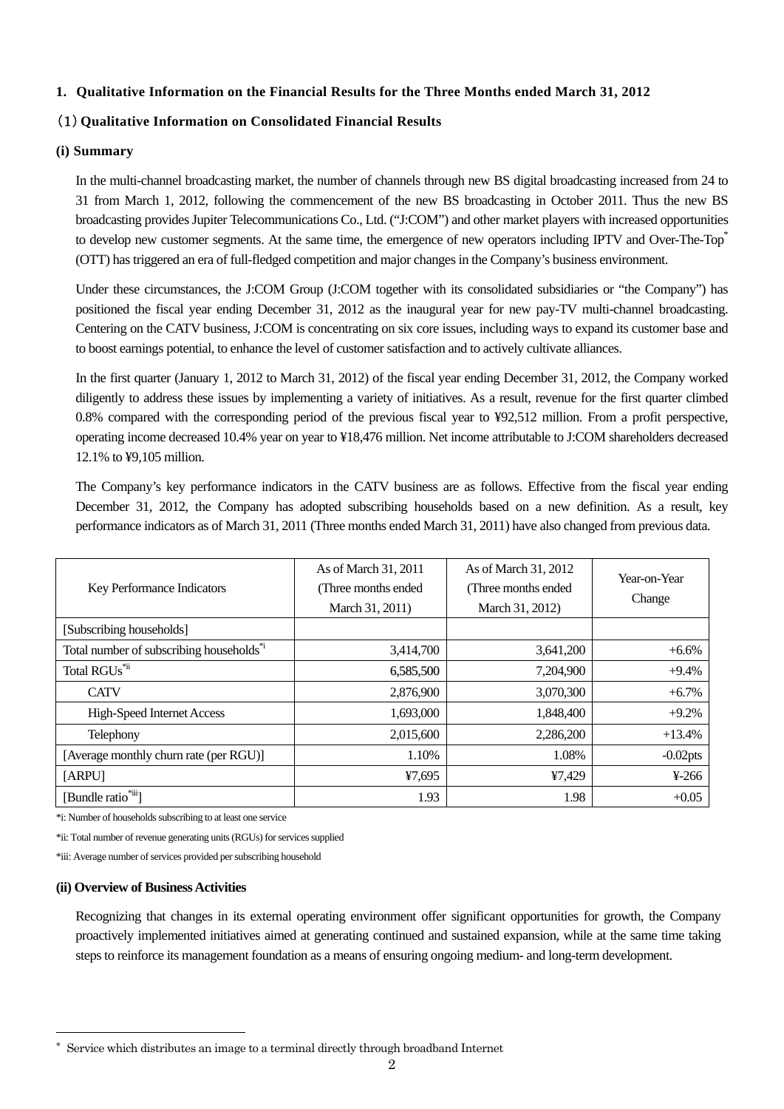#### **1. Qualitative Information on the Financial Results for the Three Months ended March 31, 2012**

### (1) **Qualitative Information on Consolidated Financial Results**

#### **(i) Summary**

In the multi-channel broadcasting market, the number of channels through new BS digital broadcasting increased from 24 to 31 from March 1, 2012, following the commencement of the new BS broadcasting in October 2011. Thus the new BS broadcasting provides Jupiter Telecommunications Co., Ltd. ("J:COM") and other market players with increased opportunities to develop new customer segments. At the same time, the emergence of new operators including IPTV and Over-The-Top<sup>\*</sup> (OTT) has triggered an era of full-fledged competition and major changes in the Company's business environment.

Under these circumstances, the J:COM Group (J:COM together with its consolidated subsidiaries or "the Company") has positioned the fiscal year ending December 31, 2012 as the inaugural year for new pay-TV multi-channel broadcasting. Centering on the CATV business, J:COM is concentrating on six core issues, including ways to expand its customer base and to boost earnings potential, to enhance the level of customer satisfaction and to actively cultivate alliances.

In the first quarter (January 1, 2012 to March 31, 2012) of the fiscal year ending December 31, 2012, the Company worked diligently to address these issues by implementing a variety of initiatives. As a result, revenue for the first quarter climbed 0.8% compared with the corresponding period of the previous fiscal year to ¥92,512 million. From a profit perspective, operating income decreased 10.4% year on year to ¥18,476 million. Net income attributable to J:COM shareholders decreased 12.1% to ¥9,105 million.

The Company's key performance indicators in the CATV business are as follows. Effective from the fiscal year ending December 31, 2012, the Company has adopted subscribing households based on a new definition. As a result, key performance indicators as of March 31, 2011 (Three months ended March 31, 2011) have also changed from previous data.

| Key Performance Indicators                           | As of March 31, 2011<br>(Three months ended)<br>March 31, 2011) | As of March 31, 2012<br>(Three months ended)<br>March 31, 2012) | Year-on-Year<br>Change |
|------------------------------------------------------|-----------------------------------------------------------------|-----------------------------------------------------------------|------------------------|
| [Subscribing households]                             |                                                                 |                                                                 |                        |
| Total number of subscribing households <sup>*i</sup> | 3,414,700                                                       | 3,641,200                                                       | $+6.6%$                |
| Total RGUs <sup>*ii</sup>                            | 6,585,500                                                       | 7,204,900                                                       | $+9.4%$                |
| <b>CATV</b>                                          | 2,876,900                                                       | 3,070,300                                                       | $+6.7%$                |
| <b>High-Speed Internet Access</b>                    | 1,693,000                                                       | 1,848,400                                                       | $+9.2%$                |
| Telephony                                            | 2,015,600                                                       | 2,286,200                                                       | $+13.4%$               |
| [Average monthly churn rate (per RGU)]               | 1.10%                                                           | 1.08%                                                           | $-0.02$ pts            |
| [ARPU]                                               | ¥7,695                                                          | ¥7,429                                                          | $4-266$                |
| [Bundle ratio <sup>*iii</sup> ]                      | 1.93                                                            | 1.98                                                            | $+0.05$                |

\*i: Number of households subscribing to at least one service

\*ii: Total number of revenue generating units (RGUs) for services supplied

\*iii: Average number of services provided per subscribing household

#### **(ii) Overview of Business Activities**

 $\overline{a}$ 

Recognizing that changes in its external operating environment offer significant opportunities for growth, the Company proactively implemented initiatives aimed at generating continued and sustained expansion, while at the same time taking steps to reinforce its management foundation as a means of ensuring ongoing medium- and long-term development.

Service which distributes an image to a terminal directly through broadband Internet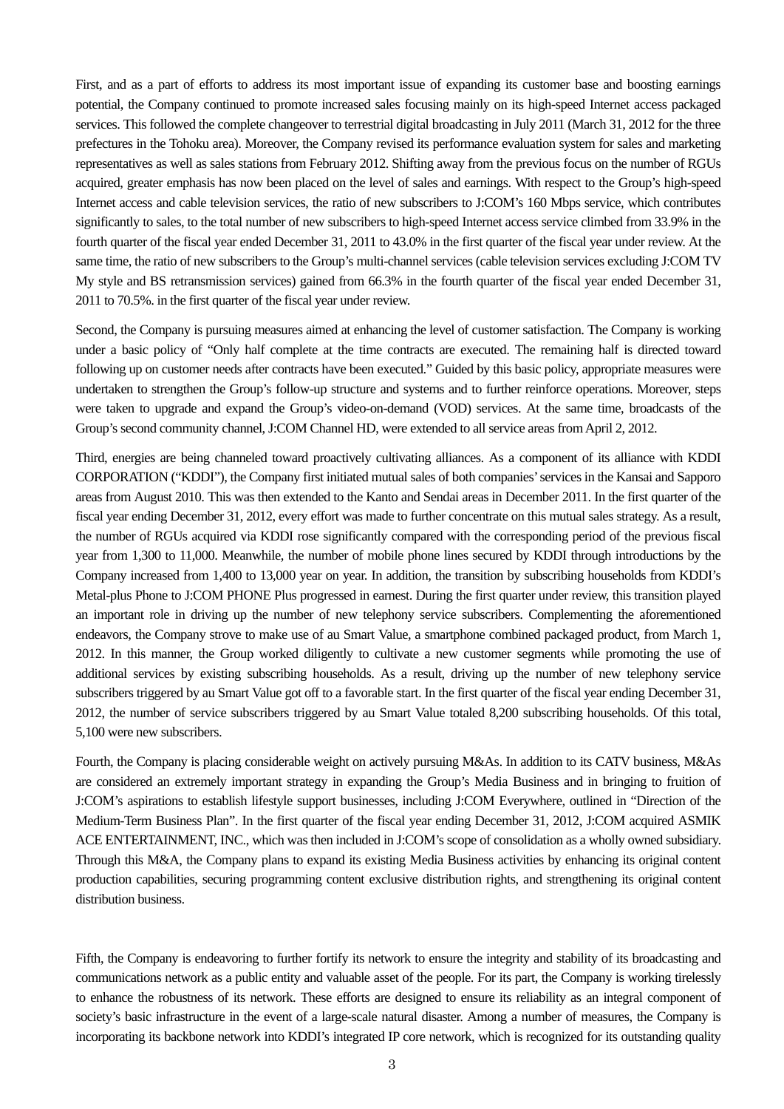First, and as a part of efforts to address its most important issue of expanding its customer base and boosting earnings potential, the Company continued to promote increased sales focusing mainly on its high-speed Internet access packaged services. This followed the complete changeover to terrestrial digital broadcasting in July 2011 (March 31, 2012 for the three prefectures in the Tohoku area). Moreover, the Company revised its performance evaluation system for sales and marketing representatives as well as sales stations from February 2012. Shifting away from the previous focus on the number of RGUs acquired, greater emphasis has now been placed on the level of sales and earnings. With respect to the Group's high-speed Internet access and cable television services, the ratio of new subscribers to J:COM's 160 Mbps service, which contributes significantly to sales, to the total number of new subscribers to high-speed Internet access service climbed from 33.9% in the fourth quarter of the fiscal year ended December 31, 2011 to 43.0% in the first quarter of the fiscal year under review. At the same time, the ratio of new subscribers to the Group's multi-channel services (cable television services excluding J:COM TV My style and BS retransmission services) gained from 66.3% in the fourth quarter of the fiscal year ended December 31, 2011 to 70.5%. in the first quarter of the fiscal year under review.

Second, the Company is pursuing measures aimed at enhancing the level of customer satisfaction. The Company is working under a basic policy of "Only half complete at the time contracts are executed. The remaining half is directed toward following up on customer needs after contracts have been executed." Guided by this basic policy, appropriate measures were undertaken to strengthen the Group's follow-up structure and systems and to further reinforce operations. Moreover, steps were taken to upgrade and expand the Group's video-on-demand (VOD) services. At the same time, broadcasts of the Group's second community channel, J:COM Channel HD, were extended to all service areas from April 2, 2012.

Third, energies are being channeled toward proactively cultivating alliances. As a component of its alliance with KDDI CORPORATION ("KDDI"), the Company first initiated mutual sales of both companies' services in the Kansai and Sapporo areas from August 2010. This was then extended to the Kanto and Sendai areas in December 2011. In the first quarter of the fiscal year ending December 31, 2012, every effort was made to further concentrate on this mutual sales strategy. As a result, the number of RGUs acquired via KDDI rose significantly compared with the corresponding period of the previous fiscal year from 1,300 to 11,000. Meanwhile, the number of mobile phone lines secured by KDDI through introductions by the Company increased from 1,400 to 13,000 year on year. In addition, the transition by subscribing households from KDDI's Metal-plus Phone to J:COM PHONE Plus progressed in earnest. During the first quarter under review, this transition played an important role in driving up the number of new telephony service subscribers. Complementing the aforementioned endeavors, the Company strove to make use of au Smart Value, a smartphone combined packaged product, from March 1, 2012. In this manner, the Group worked diligently to cultivate a new customer segments while promoting the use of additional services by existing subscribing households. As a result, driving up the number of new telephony service subscribers triggered by au Smart Value got off to a favorable start. In the first quarter of the fiscal year ending December 31, 2012, the number of service subscribers triggered by au Smart Value totaled 8,200 subscribing households. Of this total, 5,100 were new subscribers.

Fourth, the Company is placing considerable weight on actively pursuing M&As. In addition to its CATV business, M&As are considered an extremely important strategy in expanding the Group's Media Business and in bringing to fruition of J:COM's aspirations to establish lifestyle support businesses, including J:COM Everywhere, outlined in "Direction of the Medium-Term Business Plan". In the first quarter of the fiscal year ending December 31, 2012, J:COM acquired ASMIK ACE ENTERTAINMENT, INC., which was then included in J:COM's scope of consolidation as a wholly owned subsidiary. Through this M&A, the Company plans to expand its existing Media Business activities by enhancing its original content production capabilities, securing programming content exclusive distribution rights, and strengthening its original content distribution business.

Fifth, the Company is endeavoring to further fortify its network to ensure the integrity and stability of its broadcasting and communications network as a public entity and valuable asset of the people. For its part, the Company is working tirelessly to enhance the robustness of its network. These efforts are designed to ensure its reliability as an integral component of society's basic infrastructure in the event of a large-scale natural disaster. Among a number of measures, the Company is incorporating its backbone network into KDDI's integrated IP core network, which is recognized for its outstanding quality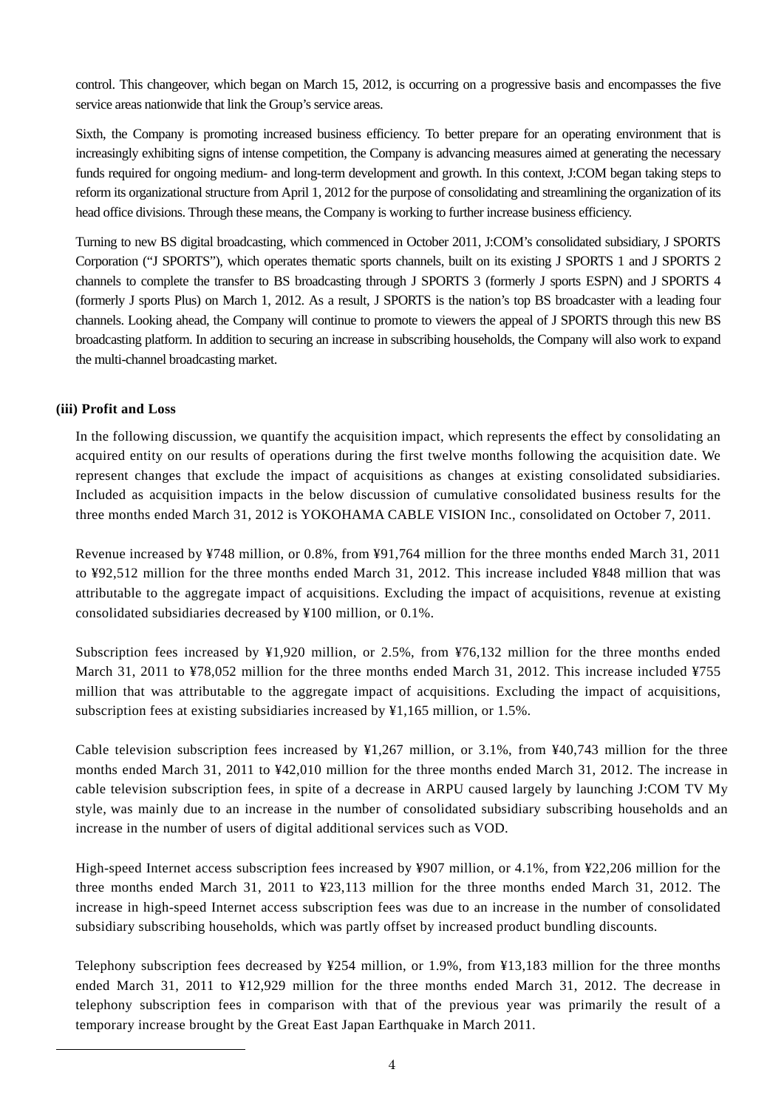control. This changeover, which began on March 15, 2012, is occurring on a progressive basis and encompasses the five service areas nationwide that link the Group's service areas.

Sixth, the Company is promoting increased business efficiency. To better prepare for an operating environment that is increasingly exhibiting signs of intense competition, the Company is advancing measures aimed at generating the necessary funds required for ongoing medium- and long-term development and growth. In this context, J:COM began taking steps to reform its organizational structure from April 1, 2012 for the purpose of consolidating and streamlining the organization of its head office divisions. Through these means, the Company is working to further increase business efficiency.

Turning to new BS digital broadcasting, which commenced in October 2011, J:COM's consolidated subsidiary, J SPORTS Corporation ("J SPORTS"), which operates thematic sports channels, built on its existing J SPORTS 1 and J SPORTS 2 channels to complete the transfer to BS broadcasting through J SPORTS 3 (formerly J sports ESPN) and J SPORTS 4 (formerly J sports Plus) on March 1, 2012. As a result, J SPORTS is the nation's top BS broadcaster with a leading four channels. Looking ahead, the Company will continue to promote to viewers the appeal of J SPORTS through this new BS broadcasting platform. In addition to securing an increase in subscribing households, the Company will also work to expand the multi-channel broadcasting market.

#### **(iii) Profit and Loss**

 $\overline{a}$ 

In the following discussion, we quantify the acquisition impact, which represents the effect by consolidating an acquired entity on our results of operations during the first twelve months following the acquisition date. We represent changes that exclude the impact of acquisitions as changes at existing consolidated subsidiaries. Included as acquisition impacts in the below discussion of cumulative consolidated business results for the three months ended March 31, 2012 is YOKOHAMA CABLE VISION Inc., consolidated on October 7, 2011.

Revenue increased by ¥748 million, or 0.8%, from ¥91,764 million for the three months ended March 31, 2011 to ¥92,512 million for the three months ended March 31, 2012. This increase included ¥848 million that was attributable to the aggregate impact of acquisitions. Excluding the impact of acquisitions, revenue at existing consolidated subsidiaries decreased by ¥100 million, or 0.1%.

Subscription fees increased by ¥1,920 million, or 2.5%, from ¥76,132 million for the three months ended March 31, 2011 to ¥78,052 million for the three months ended March 31, 2012. This increase included ¥755 million that was attributable to the aggregate impact of acquisitions. Excluding the impact of acquisitions, subscription fees at existing subsidiaries increased by ¥1,165 million, or 1.5%.

Cable television subscription fees increased by ¥1,267 million, or 3.1%, from ¥40,743 million for the three months ended March 31, 2011 to ¥42,010 million for the three months ended March 31, 2012. The increase in cable television subscription fees, in spite of a decrease in ARPU caused largely by launching J:COM TV My style, was mainly due to an increase in the number of consolidated subsidiary subscribing households and an increase in the number of users of digital additional services such as VOD.

High-speed Internet access subscription fees increased by ¥907 million, or 4.1%, from ¥22,206 million for the three months ended March 31, 2011 to ¥23,113 million for the three months ended March 31, 2012. The increase in high-speed Internet access subscription fees was due to an increase in the number of consolidated subsidiary subscribing households, which was partly offset by increased product bundling discounts.

Telephony subscription fees decreased by ¥254 million, or 1.9%, from ¥13,183 million for the three months ended March 31, 2011 to ¥12,929 million for the three months ended March 31, 2012. The decrease in telephony subscription fees in comparison with that of the previous year was primarily the result of a temporary increase brought by the Great East Japan Earthquake in March 2011.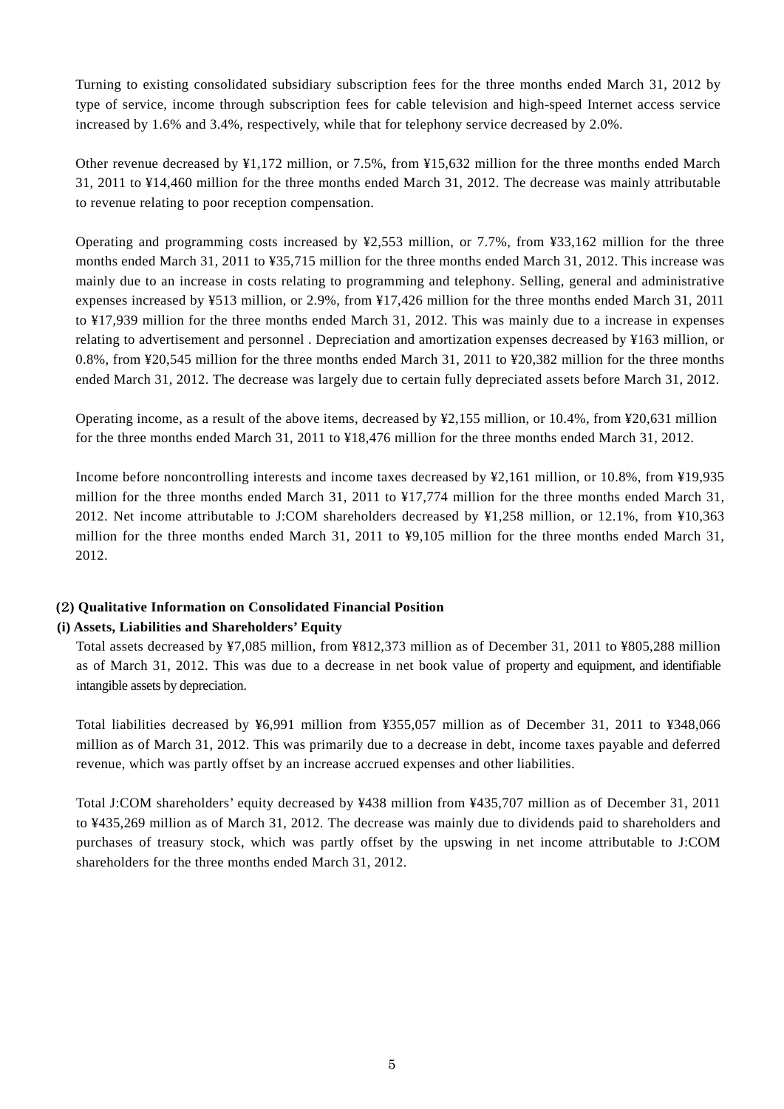Turning to existing consolidated subsidiary subscription fees for the three months ended March 31, 2012 by type of service, income through subscription fees for cable television and high-speed Internet access service increased by 1.6% and 3.4%, respectively, while that for telephony service decreased by 2.0%.

Other revenue decreased by ¥1,172 million, or 7.5%, from ¥15,632 million for the three months ended March 31, 2011 to ¥14,460 million for the three months ended March 31, 2012. The decrease was mainly attributable to revenue relating to poor reception compensation.

Operating and programming costs increased by ¥2,553 million, or 7.7%, from ¥33,162 million for the three months ended March 31, 2011 to ¥35,715 million for the three months ended March 31, 2012. This increase was mainly due to an increase in costs relating to programming and telephony. Selling, general and administrative expenses increased by ¥513 million, or 2.9%, from ¥17,426 million for the three months ended March 31, 2011 to ¥17,939 million for the three months ended March 31, 2012. This was mainly due to a increase in expenses relating to advertisement and personnel . Depreciation and amortization expenses decreased by ¥163 million, or 0.8%, from ¥20,545 million for the three months ended March 31, 2011 to ¥20,382 million for the three months ended March 31, 2012. The decrease was largely due to certain fully depreciated assets before March 31, 2012.

Operating income, as a result of the above items, decreased by ¥2,155 million, or 10.4%, from ¥20,631 million for the three months ended March 31, 2011 to ¥18,476 million for the three months ended March 31, 2012.

Income before noncontrolling interests and income taxes decreased by ¥2,161 million, or 10.8%, from ¥19,935 million for the three months ended March 31, 2011 to ¥17,774 million for the three months ended March 31, 2012. Net income attributable to J:COM shareholders decreased by ¥1,258 million, or 12.1%, from ¥10,363 million for the three months ended March 31, 2011 to ¥9,105 million for the three months ended March 31, 2012.

#### **(**2**) Qualitative Information on Consolidated Financial Position**

#### **(i) Assets, Liabilities and Shareholders' Equity**

Total assets decreased by ¥7,085 million, from ¥812,373 million as of December 31, 2011 to ¥805,288 million as of March 31, 2012. This was due to a decrease in net book value of property and equipment, and identifiable intangible assets by depreciation.

Total liabilities decreased by ¥6,991 million from ¥355,057 million as of December 31, 2011 to ¥348,066 million as of March 31, 2012. This was primarily due to a decrease in debt, income taxes payable and deferred revenue, which was partly offset by an increase accrued expenses and other liabilities.

Total J:COM shareholders' equity decreased by ¥438 million from ¥435,707 million as of December 31, 2011 to ¥435,269 million as of March 31, 2012. The decrease was mainly due to dividends paid to shareholders and purchases of treasury stock, which was partly offset by the upswing in net income attributable to J:COM shareholders for the three months ended March 31, 2012.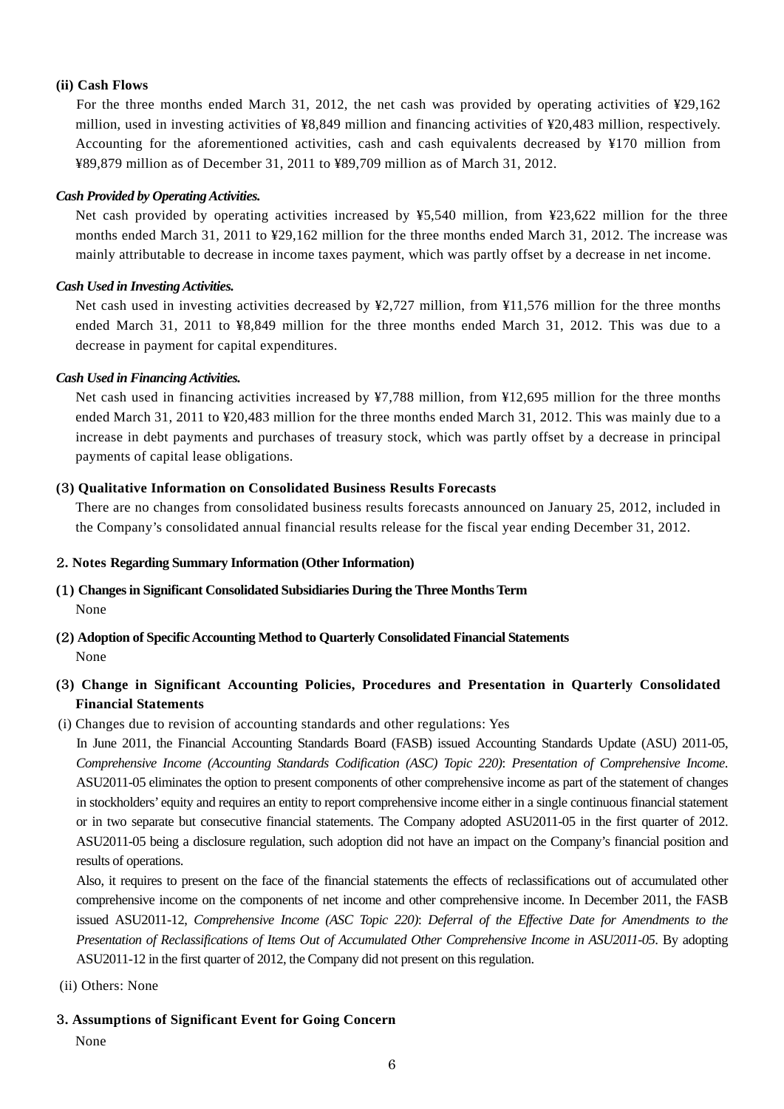#### **(ii) Cash Flows**

For the three months ended March 31, 2012, the net cash was provided by operating activities of ¥29,162 million, used in investing activities of ¥8,849 million and financing activities of ¥20,483 million, respectively. Accounting for the aforementioned activities, cash and cash equivalents decreased by ¥170 million from ¥89,879 million as of December 31, 2011 to ¥89,709 million as of March 31, 2012.

#### *Cash Provided by Operating Activities.*

Net cash provided by operating activities increased by ¥5,540 million, from ¥23,622 million for the three months ended March 31, 2011 to ¥29,162 million for the three months ended March 31, 2012. The increase was mainly attributable to decrease in income taxes payment, which was partly offset by a decrease in net income.

#### *Cash Used in Investing Activities.*

Net cash used in investing activities decreased by ¥2,727 million, from ¥11,576 million for the three months ended March 31, 2011 to ¥8,849 million for the three months ended March 31, 2012. This was due to a decrease in payment for capital expenditures.

#### *Cash Used in Financing Activities.*

Net cash used in financing activities increased by ¥7,788 million, from ¥12,695 million for the three months ended March 31, 2011 to ¥20,483 million for the three months ended March 31, 2012. This was mainly due to a increase in debt payments and purchases of treasury stock, which was partly offset by a decrease in principal payments of capital lease obligations.

#### **(**3**) Qualitative Information on Consolidated Business Results Forecasts**

There are no changes from consolidated business results forecasts announced on January 25, 2012, included in the Company's consolidated annual financial results release for the fiscal year ending December 31, 2012.

#### 2**. Notes Regarding Summary Information (Other Information)**

# **(**1**) Changes in Significant Consolidated Subsidiaries During the Three Months Term** None

**(**2**) Adoption of Specific Accounting Method to Quarterly Consolidated Financial Statements**  None

## **(**3**) Change in Significant Accounting Policies, Procedures and Presentation in Quarterly Consolidated Financial Statements**

(i) Changes due to revision of accounting standards and other regulations: Yes

In June 2011, the Financial Accounting Standards Board (FASB) issued Accounting Standards Update (ASU) 2011-05, *Comprehensive Income (Accounting Standards Codification (ASC) Topic 220)*: *Presentation of Comprehensive Income*. ASU2011-05 eliminates the option to present components of other comprehensive income as part of the statement of changes in stockholders' equity and requires an entity to report comprehensive income either in a single continuous financial statement or in two separate but consecutive financial statements. The Company adopted ASU2011-05 in the first quarter of 2012. ASU2011-05 being a disclosure regulation, such adoption did not have an impact on the Company's financial position and results of operations.

Also, it requires to present on the face of the financial statements the effects of reclassifications out of accumulated other comprehensive income on the components of net income and other comprehensive income. In December 2011, the FASB issued ASU2011-12, *Comprehensive Income (ASC Topic 220)*: *Deferral of the Effective Date for Amendments to the Presentation of Reclassifications of Items Out of Accumulated Other Comprehensive Income in ASU2011-05*. By adopting ASU2011-12 in the first quarter of 2012, the Company did not present on this regulation.

(ii) Others: None

#### 3**. Assumptions of Significant Event for Going Concern**

None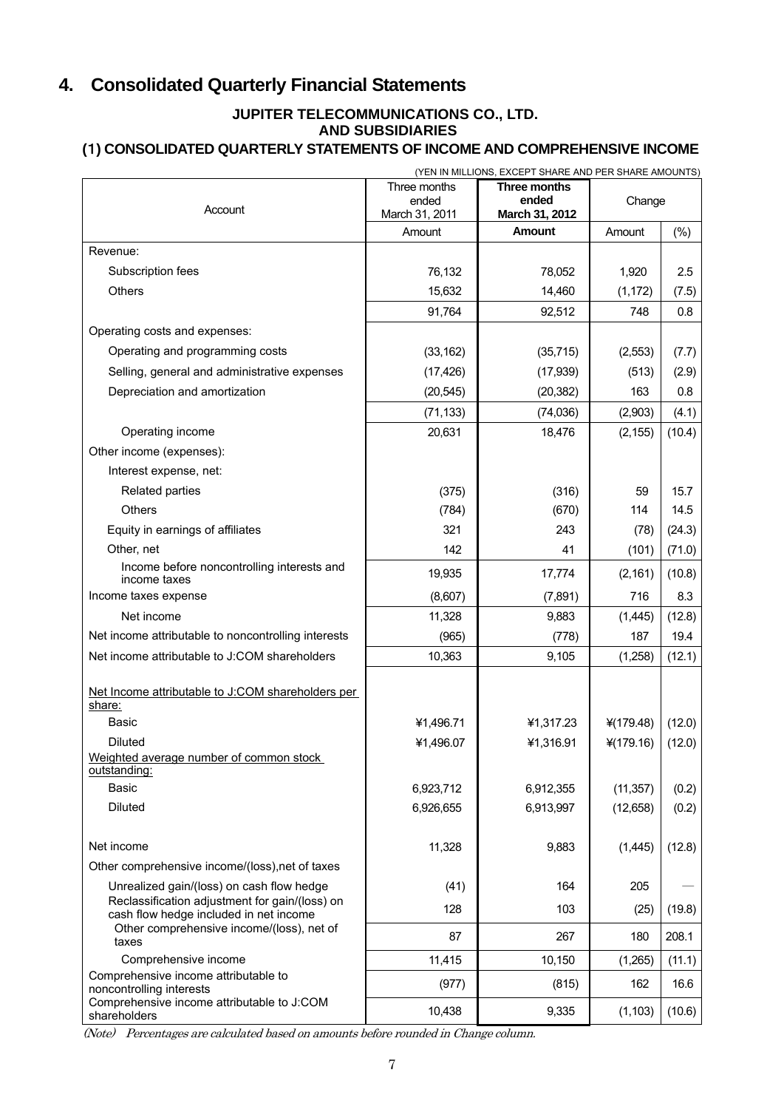# **4. Consolidated Quarterly Financial Statements**

# **JUPITER TELECOMMUNICATIONS CO., LTD. AND SUBSIDIARIES**

## **(**1**) CONSOLIDATED QUARTERLY STATEMENTS OF INCOME AND COMPREHENSIVE INCOME**

|                                                                                     | (YEN IN MILLIONS, EXCEPT SHARE AND PER SHARE AMOUNTS) |                         |             |        |
|-------------------------------------------------------------------------------------|-------------------------------------------------------|-------------------------|-------------|--------|
|                                                                                     | Three months                                          | Three months            |             |        |
| Account                                                                             | ended<br>March 31, 2011                               | ended<br>March 31, 2012 | Change      |        |
|                                                                                     | Amount                                                | <b>Amount</b>           | Amount      | $(\%)$ |
| Revenue:                                                                            |                                                       |                         |             |        |
| Subscription fees                                                                   | 76,132                                                | 78,052                  | 1,920       | 2.5    |
| Others                                                                              | 15,632                                                | 14,460                  | (1, 172)    | (7.5)  |
|                                                                                     | 91,764                                                | 92,512                  | 748         | 0.8    |
| Operating costs and expenses:                                                       |                                                       |                         |             |        |
| Operating and programming costs                                                     | (33, 162)                                             | (35, 715)               | (2,553)     | (7.7)  |
| Selling, general and administrative expenses                                        | (17, 426)                                             | (17, 939)               | (513)       | (2.9)  |
| Depreciation and amortization                                                       | (20, 545)                                             | (20, 382)               | 163         | 0.8    |
|                                                                                     | (71, 133)                                             | (74, 036)               | (2,903)     | (4.1)  |
| Operating income                                                                    | 20,631                                                | 18,476                  | (2, 155)    | (10.4) |
| Other income (expenses):                                                            |                                                       |                         |             |        |
| Interest expense, net:                                                              |                                                       |                         |             |        |
| Related parties                                                                     | (375)                                                 | (316)                   | 59          | 15.7   |
| <b>Others</b>                                                                       | (784)                                                 | (670)                   | 114         | 14.5   |
| Equity in earnings of affiliates                                                    | 321                                                   | 243                     | (78)        | (24.3) |
| Other, net                                                                          | 142                                                   | 41                      | (101)       | (71.0) |
| Income before noncontrolling interests and<br>income taxes                          | 19,935                                                | 17,774                  | (2, 161)    | (10.8) |
| Income taxes expense                                                                | (8,607)                                               | (7, 891)                | 716         | 8.3    |
| Net income                                                                          | 11,328                                                | 9,883                   | (1,445)     | (12.8) |
| Net income attributable to noncontrolling interests                                 | (965)                                                 | (778)                   | 187         | 19.4   |
| Net income attributable to J:COM shareholders                                       | 10,363                                                | 9,105                   | (1,258)     | (12.1) |
|                                                                                     |                                                       |                         |             |        |
| Net Income attributable to J:COM shareholders per<br>share:                         |                                                       |                         |             |        |
| <b>Basic</b>                                                                        | ¥1,496.71                                             | ¥1,317.23               | $*(179.48)$ | (12.0) |
| <b>Diluted</b>                                                                      | ¥1,496.07                                             | ¥1,316.91               | ¥(179.16)   | (12.0) |
| Weighted average number of common stock                                             |                                                       |                         |             |        |
| outstanding:                                                                        |                                                       |                         |             |        |
| <b>Basic</b>                                                                        | 6,923,712                                             | 6,912,355               | (11, 357)   | (0.2)  |
| <b>Diluted</b>                                                                      | 6,926,655                                             | 6,913,997               | (12, 658)   | (0.2)  |
| Net income                                                                          | 11,328                                                | 9,883                   | (1,445)     | (12.8) |
| Other comprehensive income/(loss), net of taxes                                     |                                                       |                         |             |        |
| Unrealized gain/(loss) on cash flow hedge                                           | (41)                                                  | 164                     | 205         |        |
| Reclassification adjustment for gain/(loss) on                                      |                                                       |                         |             |        |
| cash flow hedge included in net income<br>Other comprehensive income/(loss), net of | 128                                                   | 103                     | (25)        | (19.8) |
| taxes                                                                               | 87                                                    | 267                     | 180         | 208.1  |
| Comprehensive income                                                                | 11,415                                                | 10,150                  | (1,265)     | (11.1) |
| Comprehensive income attributable to<br>noncontrolling interests                    | (977)                                                 | (815)                   | 162         | 16.6   |
| Comprehensive income attributable to J:COM<br>shareholders                          | 10,438                                                | 9,335                   | (1, 103)    | (10.6) |

(Note) Percentages are calculated based on amounts before rounded in Change column.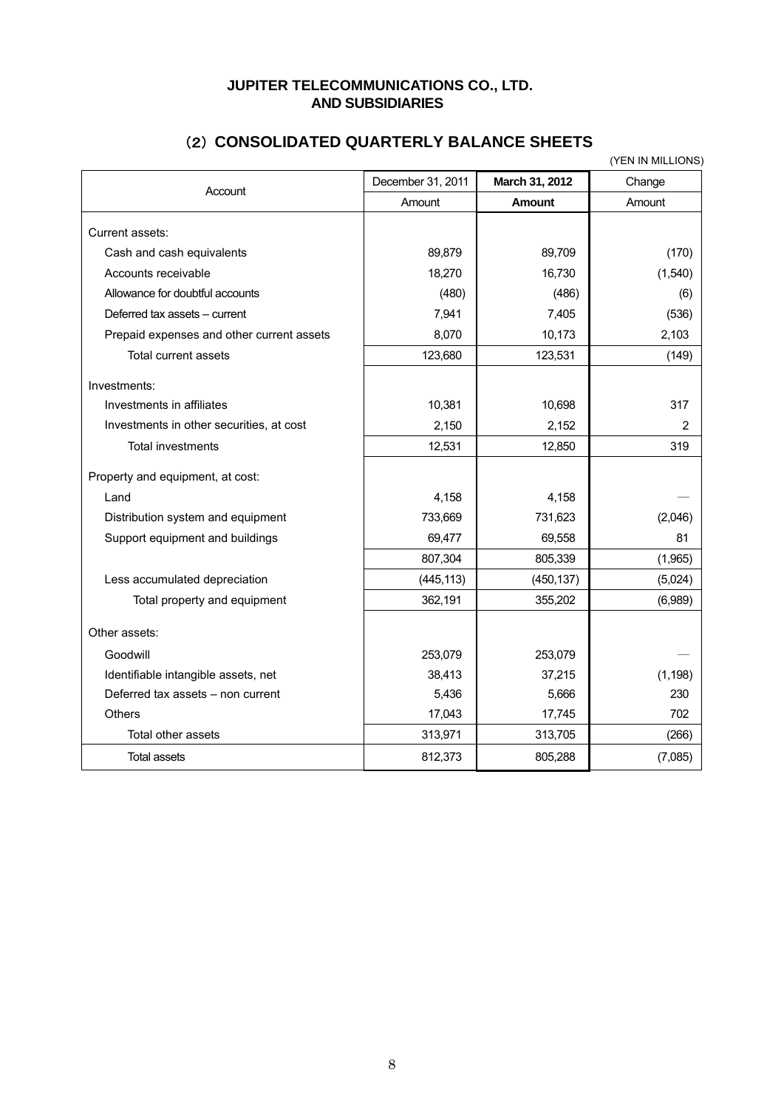# **JUPITER TELECOMMUNICATIONS CO., LTD. AND SUBSIDIARIES**

|                                           |                   |                | (YEN IN MILLIONS) |
|-------------------------------------------|-------------------|----------------|-------------------|
| Account                                   | December 31, 2011 | March 31, 2012 | Change            |
|                                           | Amount            | <b>Amount</b>  | Amount            |
| Current assets:                           |                   |                |                   |
| Cash and cash equivalents                 | 89,879            | 89,709         | (170)             |
| Accounts receivable                       | 18,270            | 16,730         | (1,540)           |
| Allowance for doubtful accounts           | (480)             | (486)          | (6)               |
| Deferred tax assets – current             | 7,941             | 7,405          | (536)             |
| Prepaid expenses and other current assets | 8,070             | 10,173         | 2,103             |
| Total current assets                      | 123,680           | 123,531        | (149)             |
| Investments:                              |                   |                |                   |
| Investments in affiliates                 | 10,381            | 10,698         | 317               |
| Investments in other securities, at cost  | 2,150             | 2,152          | $\overline{2}$    |
| <b>Total investments</b>                  | 12,531            | 12,850         | 319               |
| Property and equipment, at cost:          |                   |                |                   |
| Land                                      | 4,158             | 4,158          |                   |
| Distribution system and equipment         | 733,669           | 731,623        | (2,046)           |
| Support equipment and buildings           | 69,477            | 69,558         | 81                |
|                                           | 807,304           | 805,339        | (1,965)           |
| Less accumulated depreciation             | (445, 113)        | (450, 137)     | (5,024)           |
| Total property and equipment              | 362,191           | 355,202        | (6,989)           |
| Other assets:                             |                   |                |                   |
| Goodwill                                  | 253,079           | 253,079        |                   |
| Identifiable intangible assets, net       | 38,413            | 37,215         | (1, 198)          |
| Deferred tax assets - non current         | 5,436             | 5,666          | 230               |
| Others                                    | 17,043            | 17,745         | 702               |
| Total other assets                        | 313,971           | 313,705        | (266)             |
| <b>Total assets</b>                       | 812,373           | 805,288        | (7,085)           |

# (2) **CONSOLIDATED QUARTERLY BALANCE SHEETS**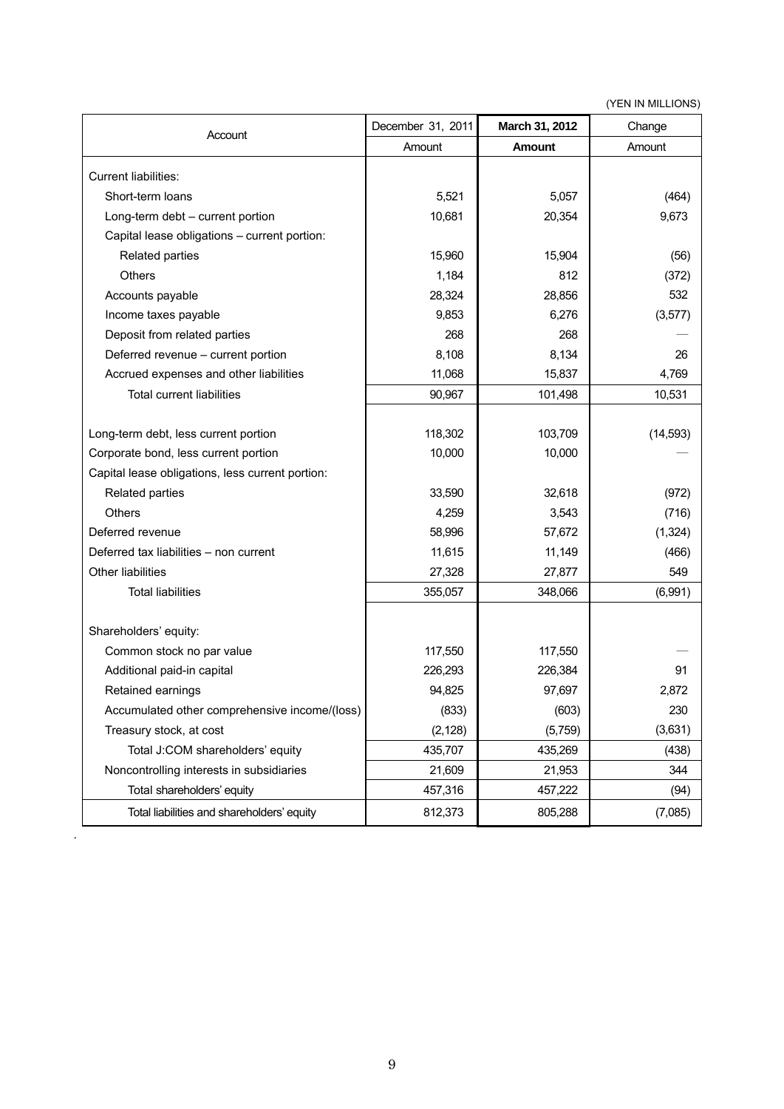(YEN IN MILLIONS)

| Account                                          | December 31, 2011 | March 31, 2012 | Change    |
|--------------------------------------------------|-------------------|----------------|-----------|
|                                                  | Amount            | Amount         | Amount    |
| <b>Current liabilities:</b>                      |                   |                |           |
| Short-term loans                                 | 5,521             | 5,057          | (464)     |
| Long-term debt - current portion                 | 10,681            | 20,354         | 9,673     |
| Capital lease obligations - current portion:     |                   |                |           |
| Related parties                                  | 15,960            | 15,904         | (56)      |
| <b>Others</b>                                    | 1,184             | 812            | (372)     |
| Accounts payable                                 | 28,324            | 28,856         | 532       |
| Income taxes payable                             | 9,853             | 6,276          | (3, 577)  |
| Deposit from related parties                     | 268               | 268            |           |
| Deferred revenue - current portion               | 8,108             | 8,134          | 26        |
| Accrued expenses and other liabilities           | 11,068            | 15,837         | 4,769     |
| <b>Total current liabilities</b>                 | 90,967            | 101,498        | 10,531    |
|                                                  |                   |                |           |
| Long-term debt, less current portion             | 118,302           | 103,709        | (14, 593) |
| Corporate bond, less current portion             | 10,000            | 10,000         |           |
| Capital lease obligations, less current portion: |                   |                |           |
| Related parties                                  | 33,590            | 32,618         | (972)     |
| <b>Others</b>                                    | 4,259             | 3,543          | (716)     |
| Deferred revenue                                 | 58,996            | 57,672         | (1, 324)  |
| Deferred tax liabilities - non current           | 11,615            | 11,149         | (466)     |
| Other liabilities                                | 27,328            | 27,877         | 549       |
| <b>Total liabilities</b>                         | 355,057           | 348,066        | (6,991)   |
|                                                  |                   |                |           |
| Shareholders' equity:                            |                   |                |           |
| Common stock no par value                        | 117,550           | 117,550        |           |
| Additional paid-in capital                       | 226,293           | 226,384        | 91        |
| Retained earnings                                | 94,825            | 97,697         | 2,872     |
| Accumulated other comprehensive income/(loss)    | (833)             | (603)          | 230       |
| Treasury stock, at cost                          | (2, 128)          | (5,759)        | (3,631)   |
| Total J:COM shareholders' equity                 | 435,707           | 435,269        | (438)     |
| Noncontrolling interests in subsidiaries         | 21,609            | 21,953         | 344       |
| Total shareholders' equity                       | 457,316           | 457,222        | (94)      |
| Total liabilities and shareholders' equity       | 812,373           | 805,288        | (7,085)   |

.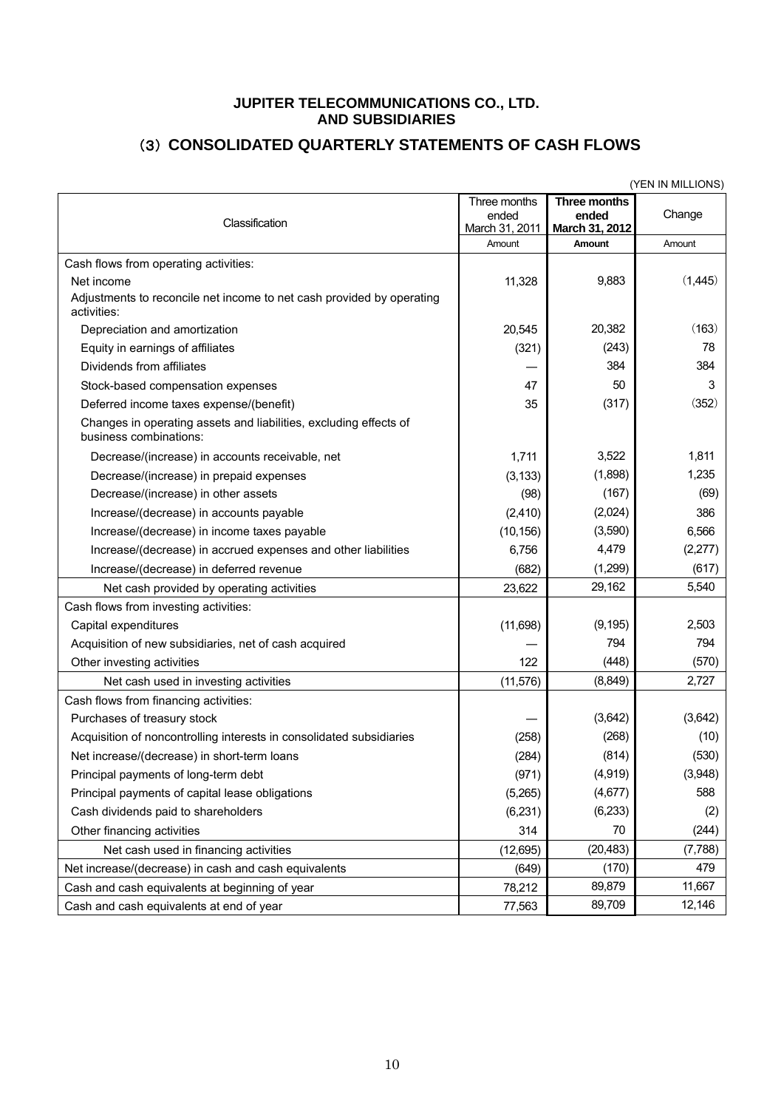### **JUPITER TELECOMMUNICATIONS CO., LTD. AND SUBSIDIARIES**

# (3) **CONSOLIDATED QUARTERLY STATEMENTS OF CASH FLOWS**

|                                                                                                    |                                         |                                         | (YEN IN MILLIONS) |
|----------------------------------------------------------------------------------------------------|-----------------------------------------|-----------------------------------------|-------------------|
| Classification                                                                                     | Three months<br>ended<br>March 31, 2011 | Three months<br>ended<br>March 31, 2012 | Change            |
|                                                                                                    | Amount                                  | Amount                                  | Amount            |
| Cash flows from operating activities:                                                              |                                         |                                         |                   |
| Net income<br>Adjustments to reconcile net income to net cash provided by operating<br>activities: | 11,328                                  | 9,883                                   | (1,445)           |
| Depreciation and amortization                                                                      | 20.545                                  | 20,382                                  | (163)             |
| Equity in earnings of affiliates                                                                   | (321)                                   | (243)                                   | 78                |
| Dividends from affiliates                                                                          |                                         | 384                                     | 384               |
| Stock-based compensation expenses                                                                  | 47                                      | 50                                      | 3                 |
| Deferred income taxes expense/(benefit)                                                            | 35                                      | (317)                                   | (352)             |
| Changes in operating assets and liabilities, excluding effects of<br>business combinations:        |                                         |                                         |                   |
| Decrease/(increase) in accounts receivable, net                                                    | 1,711                                   | 3,522                                   | 1,811             |
| Decrease/(increase) in prepaid expenses                                                            | (3, 133)                                | (1,898)                                 | 1,235             |
| Decrease/(increase) in other assets                                                                | (98)                                    | (167)                                   | (69)              |
| Increase/(decrease) in accounts payable                                                            | (2, 410)                                | (2,024)                                 | 386               |
| Increase/(decrease) in income taxes payable                                                        | (10, 156)                               | (3,590)                                 | 6,566             |
| Increase/(decrease) in accrued expenses and other liabilities                                      | 6,756                                   | 4,479                                   | (2, 277)          |
| Increase/(decrease) in deferred revenue                                                            | (682)                                   | (1,299)                                 | (617)             |
| Net cash provided by operating activities                                                          | 23,622                                  | 29,162                                  | 5,540             |
| Cash flows from investing activities:                                                              |                                         |                                         |                   |
| Capital expenditures                                                                               | (11,698)                                | (9, 195)                                | 2,503             |
| Acquisition of new subsidiaries, net of cash acquired                                              |                                         | 794                                     | 794               |
| Other investing activities                                                                         | 122                                     | (448)                                   | (570)             |
| Net cash used in investing activities                                                              | (11, 576)                               | (8, 849)                                | 2,727             |
| Cash flows from financing activities:                                                              |                                         |                                         |                   |
| Purchases of treasury stock                                                                        |                                         | (3,642)                                 | (3,642)           |
| Acquisition of noncontrolling interests in consolidated subsidiaries                               | (258)                                   | (268)                                   | (10)              |
| Net increase/(decrease) in short-term loans                                                        | (284)                                   | (814)                                   | (530)             |
| Principal payments of long-term debt                                                               | (971)                                   | (4,919)                                 | (3,948)           |
| Principal payments of capital lease obligations                                                    | (5,265)                                 | (4,677)                                 | 588               |
| Cash dividends paid to shareholders                                                                | (6, 231)                                | (6, 233)                                | (2)               |
| Other financing activities                                                                         | 314                                     | 70                                      | (244)             |
| Net cash used in financing activities                                                              | (12, 695)                               | (20, 483)                               | (7,788)           |
| Net increase/(decrease) in cash and cash equivalents                                               | (649)                                   | (170)                                   | 479               |
| Cash and cash equivalents at beginning of year                                                     | 78,212                                  | 89,879                                  | 11,667            |
| Cash and cash equivalents at end of year                                                           | 77,563                                  | 89,709                                  | 12,146            |